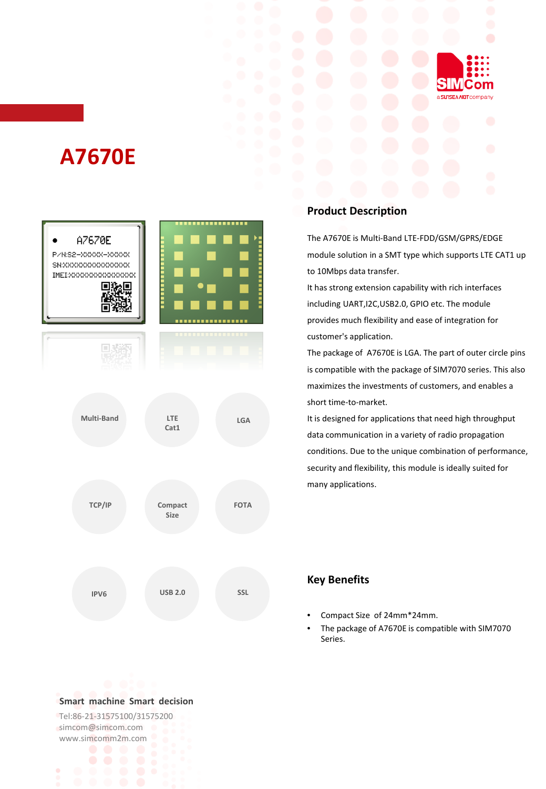

# **A7670E**



#### **Product Description**

The A7670E is Multi-Band LTE-FDD/GSM/GPRS/EDGE module solution in a SMT type which supports LTE CAT1 up to 10Mbps data transfer.

It has strong extension capability with rich interfaces including UART,I2C,USB2.0, GPIO etc. The module provides much flexibility and ease of integration for customer's application.

The package of A7670E is LGA. The part of outer circle pins is compatible with the package of SIM7070 series. This also maximizes the investments of customers, and enables a short time-to-market.

It is designed for applications that need high throughput data communication in a variety of radio propagation conditions. Due to the unique combination of performance, security and flexibility, this module is ideally suited for many applications.

#### **Key Benefits**

- Compact Size of 24mm\*24mm.
- The package of A7670E is compatible with SIM7070 Series.

#### **Smart machine Smart decision**

Tel:86-21-31575100/31575200 simcom@simcom.com www.simcomm2m.com